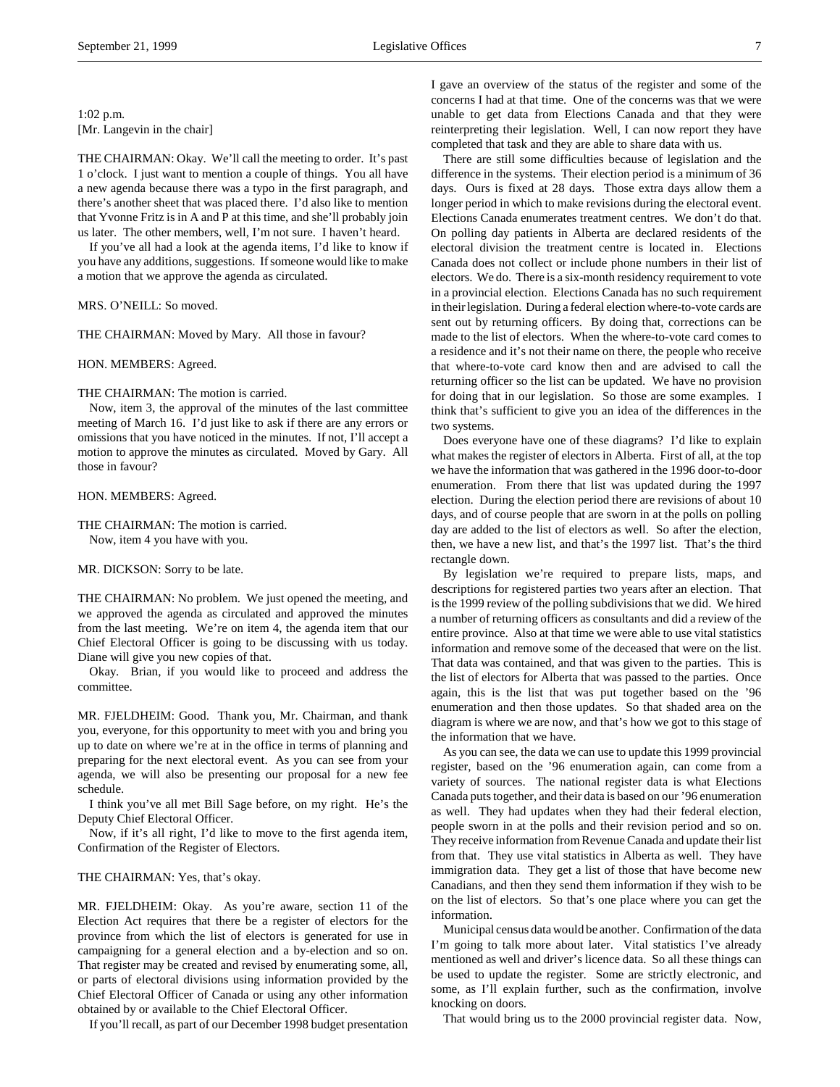1:02 p.m. [Mr. Langevin in the chair]

THE CHAIRMAN: Okay. We'll call the meeting to order. It's past 1 o'clock. I just want to mention a couple of things. You all have a new agenda because there was a typo in the first paragraph, and there's another sheet that was placed there. I'd also like to mention that Yvonne Fritz is in A and P at this time, and she'll probably join us later. The other members, well, I'm not sure. I haven't heard.

If you've all had a look at the agenda items, I'd like to know if you have any additions, suggestions. If someone would like to make a motion that we approve the agenda as circulated.

MRS. O'NEILL: So moved.

THE CHAIRMAN: Moved by Mary. All those in favour?

HON. MEMBERS: Agreed.

THE CHAIRMAN: The motion is carried.

Now, item 3, the approval of the minutes of the last committee meeting of March 16. I'd just like to ask if there are any errors or omissions that you have noticed in the minutes. If not, I'll accept a motion to approve the minutes as circulated. Moved by Gary. All those in favour?

HON. MEMBERS: Agreed.

THE CHAIRMAN: The motion is carried. Now, item 4 you have with you.

MR. DICKSON: Sorry to be late.

THE CHAIRMAN: No problem. We just opened the meeting, and we approved the agenda as circulated and approved the minutes from the last meeting. We're on item 4, the agenda item that our Chief Electoral Officer is going to be discussing with us today. Diane will give you new copies of that.

Okay. Brian, if you would like to proceed and address the committee.

MR. FJELDHEIM: Good. Thank you, Mr. Chairman, and thank you, everyone, for this opportunity to meet with you and bring you up to date on where we're at in the office in terms of planning and preparing for the next electoral event. As you can see from your agenda, we will also be presenting our proposal for a new fee schedule.

I think you've all met Bill Sage before, on my right. He's the Deputy Chief Electoral Officer.

Now, if it's all right, I'd like to move to the first agenda item, Confirmation of the Register of Electors.

THE CHAIRMAN: Yes, that's okay.

MR. FJELDHEIM: Okay. As you're aware, section 11 of the Election Act requires that there be a register of electors for the province from which the list of electors is generated for use in campaigning for a general election and a by-election and so on. That register may be created and revised by enumerating some, all, or parts of electoral divisions using information provided by the Chief Electoral Officer of Canada or using any other information obtained by or available to the Chief Electoral Officer.

If you'll recall, as part of our December 1998 budget presentation

I gave an overview of the status of the register and some of the concerns I had at that time. One of the concerns was that we were unable to get data from Elections Canada and that they were reinterpreting their legislation. Well, I can now report they have completed that task and they are able to share data with us.

There are still some difficulties because of legislation and the difference in the systems. Their election period is a minimum of 36 days. Ours is fixed at 28 days. Those extra days allow them a longer period in which to make revisions during the electoral event. Elections Canada enumerates treatment centres. We don't do that. On polling day patients in Alberta are declared residents of the electoral division the treatment centre is located in. Elections Canada does not collect or include phone numbers in their list of electors. We do. There is a six-month residency requirement to vote in a provincial election. Elections Canada has no such requirement in their legislation. During a federal election where-to-vote cards are sent out by returning officers. By doing that, corrections can be made to the list of electors. When the where-to-vote card comes to a residence and it's not their name on there, the people who receive that where-to-vote card know then and are advised to call the returning officer so the list can be updated. We have no provision for doing that in our legislation. So those are some examples. I think that's sufficient to give you an idea of the differences in the two systems.

Does everyone have one of these diagrams? I'd like to explain what makes the register of electors in Alberta. First of all, at the top we have the information that was gathered in the 1996 door-to-door enumeration. From there that list was updated during the 1997 election. During the election period there are revisions of about 10 days, and of course people that are sworn in at the polls on polling day are added to the list of electors as well. So after the election, then, we have a new list, and that's the 1997 list. That's the third rectangle down.

By legislation we're required to prepare lists, maps, and descriptions for registered parties two years after an election. That is the 1999 review of the polling subdivisions that we did. We hired a number of returning officers as consultants and did a review of the entire province. Also at that time we were able to use vital statistics information and remove some of the deceased that were on the list. That data was contained, and that was given to the parties. This is the list of electors for Alberta that was passed to the parties. Once again, this is the list that was put together based on the '96 enumeration and then those updates. So that shaded area on the diagram is where we are now, and that's how we got to this stage of the information that we have.

As you can see, the data we can use to update this 1999 provincial register, based on the '96 enumeration again, can come from a variety of sources. The national register data is what Elections Canada puts together, and their data is based on our '96 enumeration as well. They had updates when they had their federal election, people sworn in at the polls and their revision period and so on. They receive information from Revenue Canada and update their list from that. They use vital statistics in Alberta as well. They have immigration data. They get a list of those that have become new Canadians, and then they send them information if they wish to be on the list of electors. So that's one place where you can get the information.

Municipal census data would be another. Confirmation of the data I'm going to talk more about later. Vital statistics I've already mentioned as well and driver's licence data. So all these things can be used to update the register. Some are strictly electronic, and some, as I'll explain further, such as the confirmation, involve knocking on doors.

That would bring us to the 2000 provincial register data. Now,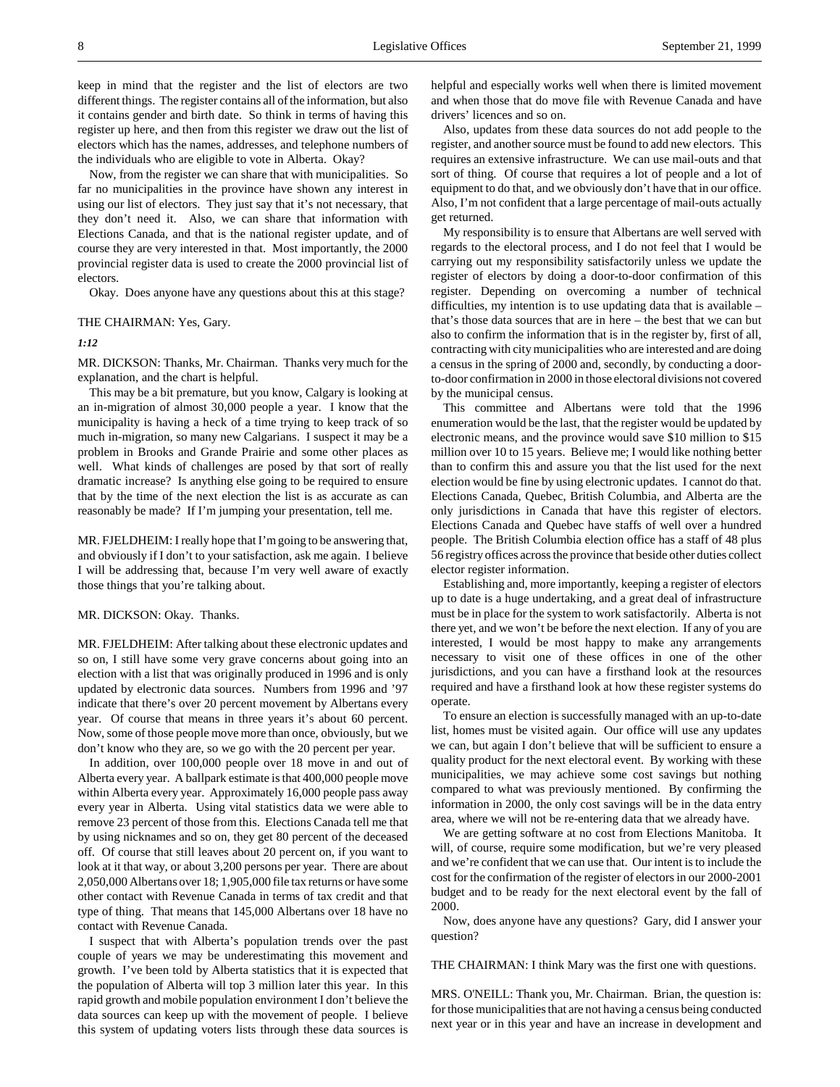Now, from the register we can share that with municipalities. So far no municipalities in the province have shown any interest in using our list of electors. They just say that it's not necessary, that they don't need it. Also, we can share that information with Elections Canada, and that is the national register update, and of course they are very interested in that. Most importantly, the 2000 provincial register data is used to create the 2000 provincial list of electors.

Okay. Does anyone have any questions about this at this stage?

#### THE CHAIRMAN: Yes, Gary.

# *1:12*

MR. DICKSON: Thanks, Mr. Chairman. Thanks very much for the explanation, and the chart is helpful.

This may be a bit premature, but you know, Calgary is looking at an in-migration of almost 30,000 people a year. I know that the municipality is having a heck of a time trying to keep track of so much in-migration, so many new Calgarians. I suspect it may be a problem in Brooks and Grande Prairie and some other places as well. What kinds of challenges are posed by that sort of really dramatic increase? Is anything else going to be required to ensure that by the time of the next election the list is as accurate as can reasonably be made? If I'm jumping your presentation, tell me.

MR. FJELDHEIM: I really hope that I'm going to be answering that, and obviously if I don't to your satisfaction, ask me again. I believe I will be addressing that, because I'm very well aware of exactly those things that you're talking about.

#### MR. DICKSON: Okay. Thanks.

MR. FJELDHEIM: After talking about these electronic updates and so on, I still have some very grave concerns about going into an election with a list that was originally produced in 1996 and is only updated by electronic data sources. Numbers from 1996 and '97 indicate that there's over 20 percent movement by Albertans every year. Of course that means in three years it's about 60 percent. Now, some of those people move more than once, obviously, but we don't know who they are, so we go with the 20 percent per year.

In addition, over 100,000 people over 18 move in and out of Alberta every year. A ballpark estimate is that 400,000 people move within Alberta every year. Approximately 16,000 people pass away every year in Alberta. Using vital statistics data we were able to remove 23 percent of those from this. Elections Canada tell me that by using nicknames and so on, they get 80 percent of the deceased off. Of course that still leaves about 20 percent on, if you want to look at it that way, or about 3,200 persons per year. There are about 2,050,000 Albertans over 18; 1,905,000 file tax returns or have some other contact with Revenue Canada in terms of tax credit and that type of thing. That means that 145,000 Albertans over 18 have no contact with Revenue Canada.

I suspect that with Alberta's population trends over the past couple of years we may be underestimating this movement and growth. I've been told by Alberta statistics that it is expected that the population of Alberta will top 3 million later this year. In this rapid growth and mobile population environment I don't believe the data sources can keep up with the movement of people. I believe this system of updating voters lists through these data sources is

helpful and especially works well when there is limited movement and when those that do move file with Revenue Canada and have drivers' licences and so on.

Also, updates from these data sources do not add people to the register, and another source must be found to add new electors. This requires an extensive infrastructure. We can use mail-outs and that sort of thing. Of course that requires a lot of people and a lot of equipment to do that, and we obviously don't have that in our office. Also, I'm not confident that a large percentage of mail-outs actually get returned.

My responsibility is to ensure that Albertans are well served with regards to the electoral process, and I do not feel that I would be carrying out my responsibility satisfactorily unless we update the register of electors by doing a door-to-door confirmation of this register. Depending on overcoming a number of technical difficulties, my intention is to use updating data that is available – that's those data sources that are in here – the best that we can but also to confirm the information that is in the register by, first of all, contracting with city municipalities who are interested and are doing a census in the spring of 2000 and, secondly, by conducting a doorto-door confirmation in 2000 in those electoral divisions not covered by the municipal census.

This committee and Albertans were told that the 1996 enumeration would be the last, that the register would be updated by electronic means, and the province would save \$10 million to \$15 million over 10 to 15 years. Believe me; I would like nothing better than to confirm this and assure you that the list used for the next election would be fine by using electronic updates. I cannot do that. Elections Canada, Quebec, British Columbia, and Alberta are the only jurisdictions in Canada that have this register of electors. Elections Canada and Quebec have staffs of well over a hundred people. The British Columbia election office has a staff of 48 plus 56 registry offices across the province that beside other duties collect elector register information.

Establishing and, more importantly, keeping a register of electors up to date is a huge undertaking, and a great deal of infrastructure must be in place for the system to work satisfactorily. Alberta is not there yet, and we won't be before the next election. If any of you are interested, I would be most happy to make any arrangements necessary to visit one of these offices in one of the other jurisdictions, and you can have a firsthand look at the resources required and have a firsthand look at how these register systems do operate.

To ensure an election is successfully managed with an up-to-date list, homes must be visited again. Our office will use any updates we can, but again I don't believe that will be sufficient to ensure a quality product for the next electoral event. By working with these municipalities, we may achieve some cost savings but nothing compared to what was previously mentioned. By confirming the information in 2000, the only cost savings will be in the data entry area, where we will not be re-entering data that we already have.

We are getting software at no cost from Elections Manitoba. It will, of course, require some modification, but we're very pleased and we're confident that we can use that. Our intent is to include the cost for the confirmation of the register of electors in our 2000-2001 budget and to be ready for the next electoral event by the fall of 2000.

Now, does anyone have any questions? Gary, did I answer your question?

THE CHAIRMAN: I think Mary was the first one with questions.

MRS. O'NEILL: Thank you, Mr. Chairman. Brian, the question is: for those municipalities that are not having a census being conducted next year or in this year and have an increase in development and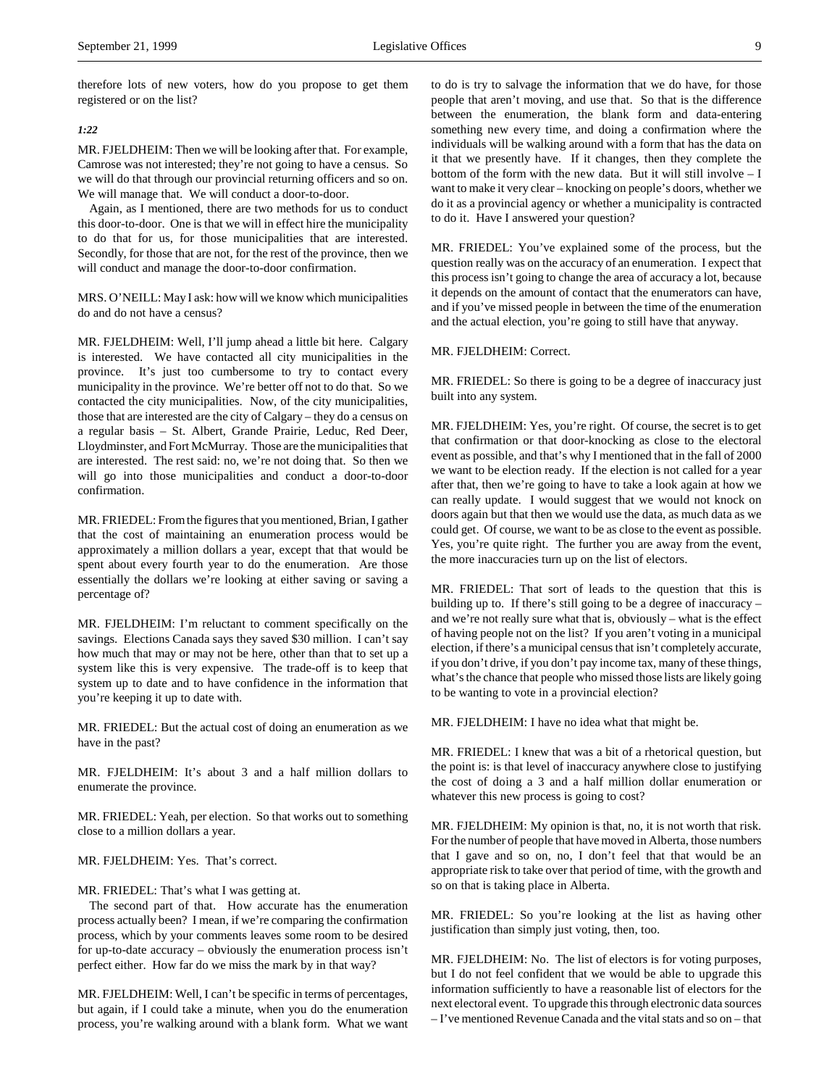therefore lots of new voters, how do you propose to get them registered or on the list?

# *1:22*

MR. FJELDHEIM: Then we will be looking after that. For example, Camrose was not interested; they're not going to have a census. So we will do that through our provincial returning officers and so on. We will manage that. We will conduct a door-to-door.

Again, as I mentioned, there are two methods for us to conduct this door-to-door. One is that we will in effect hire the municipality to do that for us, for those municipalities that are interested. Secondly, for those that are not, for the rest of the province, then we will conduct and manage the door-to-door confirmation.

MRS. O'NEILL: May I ask: how will we know which municipalities do and do not have a census?

MR. FJELDHEIM: Well, I'll jump ahead a little bit here. Calgary is interested. We have contacted all city municipalities in the province. It's just too cumbersome to try to contact every municipality in the province. We're better off not to do that. So we contacted the city municipalities. Now, of the city municipalities, those that are interested are the city of Calgary – they do a census on a regular basis – St. Albert, Grande Prairie, Leduc, Red Deer, Lloydminster, and Fort McMurray. Those are the municipalities that are interested. The rest said: no, we're not doing that. So then we will go into those municipalities and conduct a door-to-door confirmation.

MR. FRIEDEL: From the figures that you mentioned, Brian, I gather that the cost of maintaining an enumeration process would be approximately a million dollars a year, except that that would be spent about every fourth year to do the enumeration. Are those essentially the dollars we're looking at either saving or saving a percentage of?

MR. FJELDHEIM: I'm reluctant to comment specifically on the savings. Elections Canada says they saved \$30 million. I can't say how much that may or may not be here, other than that to set up a system like this is very expensive. The trade-off is to keep that system up to date and to have confidence in the information that you're keeping it up to date with.

MR. FRIEDEL: But the actual cost of doing an enumeration as we have in the past?

MR. FJELDHEIM: It's about 3 and a half million dollars to enumerate the province.

MR. FRIEDEL: Yeah, per election. So that works out to something close to a million dollars a year.

# MR. FJELDHEIM: Yes. That's correct.

MR. FRIEDEL: That's what I was getting at.

The second part of that. How accurate has the enumeration process actually been? I mean, if we're comparing the confirmation process, which by your comments leaves some room to be desired for up-to-date accuracy – obviously the enumeration process isn't perfect either. How far do we miss the mark by in that way?

MR. FJELDHEIM: Well, I can't be specific in terms of percentages, but again, if I could take a minute, when you do the enumeration process, you're walking around with a blank form. What we want to do is try to salvage the information that we do have, for those people that aren't moving, and use that. So that is the difference between the enumeration, the blank form and data-entering something new every time, and doing a confirmation where the individuals will be walking around with a form that has the data on it that we presently have. If it changes, then they complete the bottom of the form with the new data. But it will still involve – I want to make it very clear – knocking on people's doors, whether we do it as a provincial agency or whether a municipality is contracted to do it. Have I answered your question?

MR. FRIEDEL: You've explained some of the process, but the question really was on the accuracy of an enumeration. I expect that this process isn't going to change the area of accuracy a lot, because it depends on the amount of contact that the enumerators can have, and if you've missed people in between the time of the enumeration and the actual election, you're going to still have that anyway.

# MR. FJELDHEIM: Correct.

MR. FRIEDEL: So there is going to be a degree of inaccuracy just built into any system.

MR. FJELDHEIM: Yes, you're right. Of course, the secret is to get that confirmation or that door-knocking as close to the electoral event as possible, and that's why I mentioned that in the fall of 2000 we want to be election ready. If the election is not called for a year after that, then we're going to have to take a look again at how we can really update. I would suggest that we would not knock on doors again but that then we would use the data, as much data as we could get. Of course, we want to be as close to the event as possible. Yes, you're quite right. The further you are away from the event, the more inaccuracies turn up on the list of electors.

MR. FRIEDEL: That sort of leads to the question that this is building up to. If there's still going to be a degree of inaccuracy – and we're not really sure what that is, obviously – what is the effect of having people not on the list? If you aren't voting in a municipal election, if there's a municipal census that isn't completely accurate, if you don't drive, if you don't pay income tax, many of these things, what's the chance that people who missed those lists are likely going to be wanting to vote in a provincial election?

MR. FJELDHEIM: I have no idea what that might be.

MR. FRIEDEL: I knew that was a bit of a rhetorical question, but the point is: is that level of inaccuracy anywhere close to justifying the cost of doing a 3 and a half million dollar enumeration or whatever this new process is going to cost?

MR. FJELDHEIM: My opinion is that, no, it is not worth that risk. For the number of people that have moved in Alberta, those numbers that I gave and so on, no, I don't feel that that would be an appropriate risk to take over that period of time, with the growth and so on that is taking place in Alberta.

MR. FRIEDEL: So you're looking at the list as having other justification than simply just voting, then, too.

MR. FJELDHEIM: No. The list of electors is for voting purposes, but I do not feel confident that we would be able to upgrade this information sufficiently to have a reasonable list of electors for the next electoral event. To upgrade this through electronic data sources – I've mentioned Revenue Canada and the vital stats and so on – that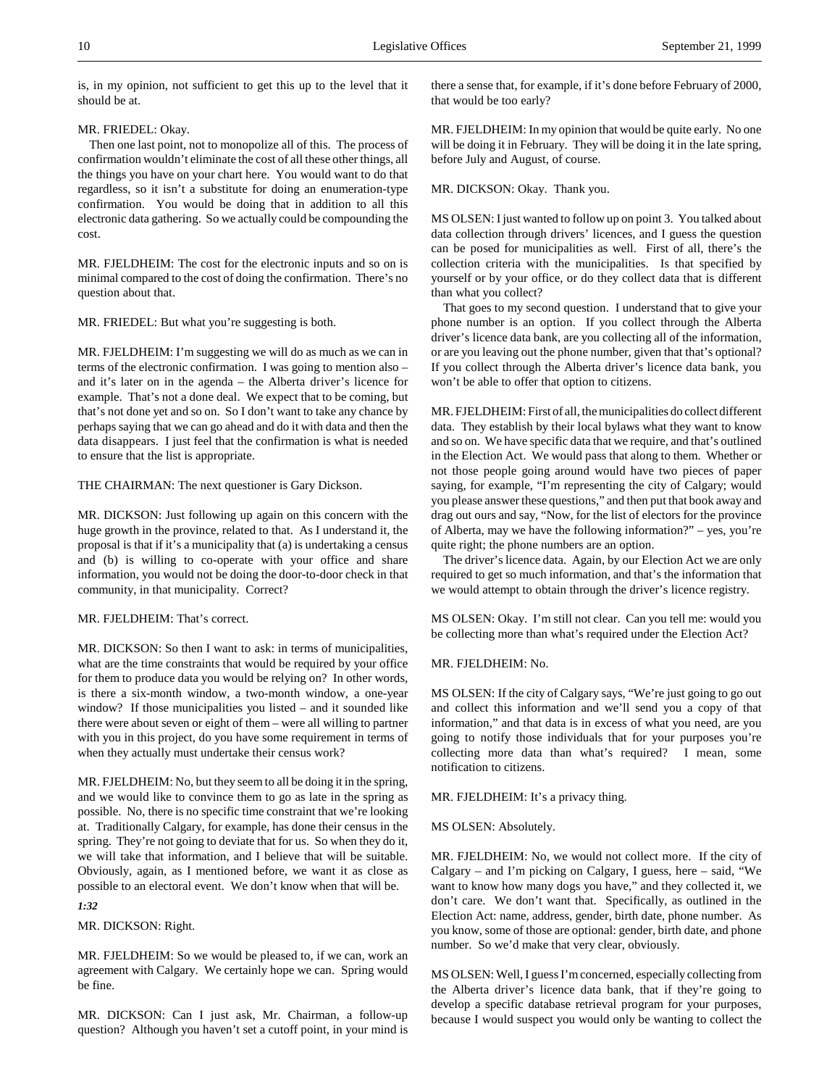is, in my opinion, not sufficient to get this up to the level that it should be at.

# MR. FRIEDEL: Okay.

Then one last point, not to monopolize all of this. The process of confirmation wouldn't eliminate the cost of all these other things, all the things you have on your chart here. You would want to do that regardless, so it isn't a substitute for doing an enumeration-type confirmation. You would be doing that in addition to all this electronic data gathering. So we actually could be compounding the cost.

MR. FJELDHEIM: The cost for the electronic inputs and so on is minimal compared to the cost of doing the confirmation. There's no question about that.

MR. FRIEDEL: But what you're suggesting is both.

MR. FJELDHEIM: I'm suggesting we will do as much as we can in terms of the electronic confirmation. I was going to mention also – and it's later on in the agenda – the Alberta driver's licence for example. That's not a done deal. We expect that to be coming, but that's not done yet and so on. So I don't want to take any chance by perhaps saying that we can go ahead and do it with data and then the data disappears. I just feel that the confirmation is what is needed to ensure that the list is appropriate.

THE CHAIRMAN: The next questioner is Gary Dickson.

MR. DICKSON: Just following up again on this concern with the huge growth in the province, related to that. As I understand it, the proposal is that if it's a municipality that (a) is undertaking a census and (b) is willing to co-operate with your office and share information, you would not be doing the door-to-door check in that community, in that municipality. Correct?

MR. FJELDHEIM: That's correct.

MR. DICKSON: So then I want to ask: in terms of municipalities, what are the time constraints that would be required by your office for them to produce data you would be relying on? In other words, is there a six-month window, a two-month window, a one-year window? If those municipalities you listed – and it sounded like there were about seven or eight of them – were all willing to partner with you in this project, do you have some requirement in terms of when they actually must undertake their census work?

MR. FJELDHEIM: No, but they seem to all be doing it in the spring, and we would like to convince them to go as late in the spring as possible. No, there is no specific time constraint that we're looking at. Traditionally Calgary, for example, has done their census in the spring. They're not going to deviate that for us. So when they do it, we will take that information, and I believe that will be suitable. Obviously, again, as I mentioned before, we want it as close as possible to an electoral event. We don't know when that will be.

# *1:32*

MR. DICKSON: Right.

MR. FJELDHEIM: So we would be pleased to, if we can, work an agreement with Calgary. We certainly hope we can. Spring would be fine.

MR. DICKSON: Can I just ask, Mr. Chairman, a follow-up question? Although you haven't set a cutoff point, in your mind is there a sense that, for example, if it's done before February of 2000, that would be too early?

MR. FJELDHEIM: In my opinion that would be quite early. No one will be doing it in February. They will be doing it in the late spring, before July and August, of course.

# MR. DICKSON: Okay. Thank you.

MS OLSEN: I just wanted to follow up on point 3. You talked about data collection through drivers' licences, and I guess the question can be posed for municipalities as well. First of all, there's the collection criteria with the municipalities. Is that specified by yourself or by your office, or do they collect data that is different than what you collect?

That goes to my second question. I understand that to give your phone number is an option. If you collect through the Alberta driver's licence data bank, are you collecting all of the information, or are you leaving out the phone number, given that that's optional? If you collect through the Alberta driver's licence data bank, you won't be able to offer that option to citizens.

MR. FJELDHEIM: First of all, the municipalities do collect different data. They establish by their local bylaws what they want to know and so on. We have specific data that we require, and that's outlined in the Election Act. We would pass that along to them. Whether or not those people going around would have two pieces of paper saying, for example, "I'm representing the city of Calgary; would you please answer these questions," and then put that book away and drag out ours and say, "Now, for the list of electors for the province of Alberta, may we have the following information?" – yes, you're quite right; the phone numbers are an option.

The driver's licence data. Again, by our Election Act we are only required to get so much information, and that's the information that we would attempt to obtain through the driver's licence registry.

MS OLSEN: Okay. I'm still not clear. Can you tell me: would you be collecting more than what's required under the Election Act?

MR. FJELDHEIM: No.

MS OLSEN: If the city of Calgary says, "We're just going to go out and collect this information and we'll send you a copy of that information," and that data is in excess of what you need, are you going to notify those individuals that for your purposes you're collecting more data than what's required? I mean, some notification to citizens.

MR. FJELDHEIM: It's a privacy thing.

MS OLSEN: Absolutely.

MR. FJELDHEIM: No, we would not collect more. If the city of Calgary – and I'm picking on Calgary, I guess, here – said, "We want to know how many dogs you have," and they collected it, we don't care. We don't want that. Specifically, as outlined in the Election Act: name, address, gender, birth date, phone number. As you know, some of those are optional: gender, birth date, and phone number. So we'd make that very clear, obviously.

MS OLSEN: Well, I guess I'm concerned, especially collecting from the Alberta driver's licence data bank, that if they're going to develop a specific database retrieval program for your purposes, because I would suspect you would only be wanting to collect the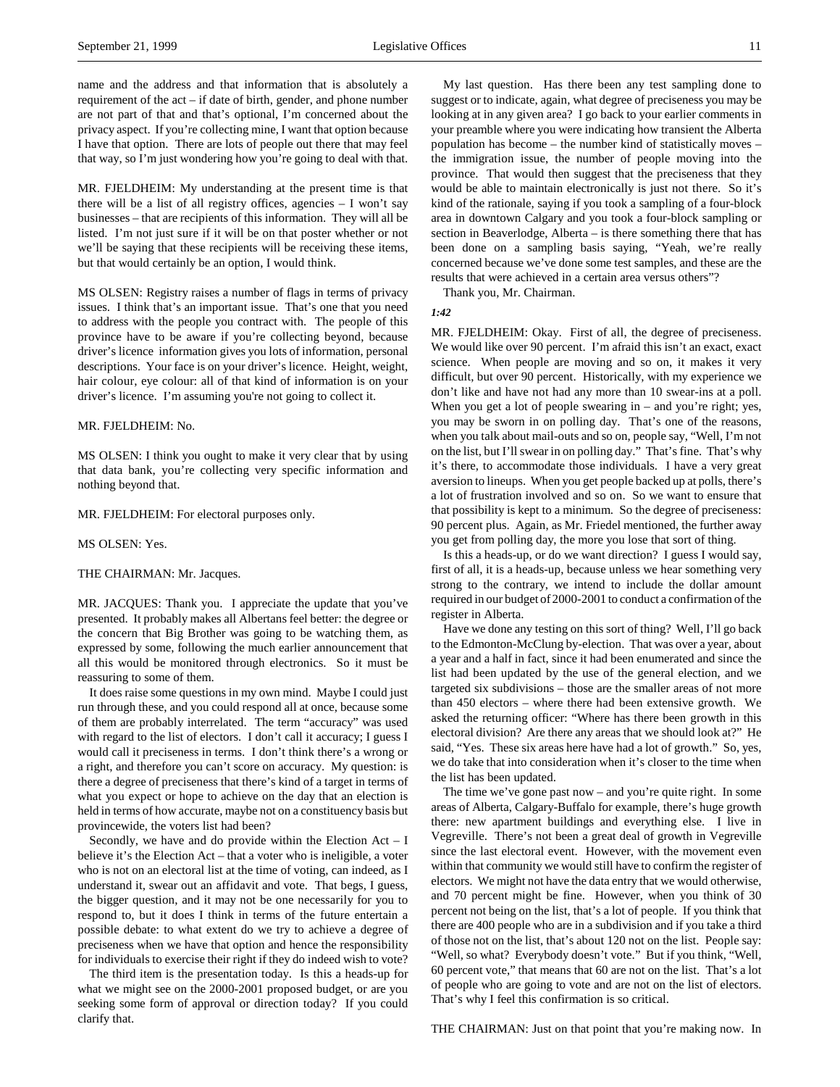name and the address and that information that is absolutely a requirement of the act – if date of birth, gender, and phone number are not part of that and that's optional, I'm concerned about the privacy aspect. If you're collecting mine, I want that option because I have that option. There are lots of people out there that may feel that way, so I'm just wondering how you're going to deal with that.

MR. FJELDHEIM: My understanding at the present time is that there will be a list of all registry offices, agencies – I won't say businesses – that are recipients of this information. They will all be listed. I'm not just sure if it will be on that poster whether or not we'll be saying that these recipients will be receiving these items, but that would certainly be an option, I would think.

MS OLSEN: Registry raises a number of flags in terms of privacy issues. I think that's an important issue. That's one that you need to address with the people you contract with. The people of this province have to be aware if you're collecting beyond, because driver's licence information gives you lots of information, personal descriptions. Your face is on your driver's licence. Height, weight, hair colour, eye colour: all of that kind of information is on your driver's licence. I'm assuming you're not going to collect it.

#### MR. FJELDHEIM: No.

MS OLSEN: I think you ought to make it very clear that by using that data bank, you're collecting very specific information and nothing beyond that.

## MR. FJELDHEIM: For electoral purposes only.

#### MS OLSEN: Yes.

#### THE CHAIRMAN: Mr. Jacques.

MR. JACQUES: Thank you. I appreciate the update that you've presented. It probably makes all Albertans feel better: the degree or the concern that Big Brother was going to be watching them, as expressed by some, following the much earlier announcement that all this would be monitored through electronics. So it must be reassuring to some of them.

It does raise some questions in my own mind. Maybe I could just run through these, and you could respond all at once, because some of them are probably interrelated. The term "accuracy" was used with regard to the list of electors. I don't call it accuracy; I guess I would call it preciseness in terms. I don't think there's a wrong or a right, and therefore you can't score on accuracy. My question: is there a degree of preciseness that there's kind of a target in terms of what you expect or hope to achieve on the day that an election is held in terms of how accurate, maybe not on a constituency basis but provincewide, the voters list had been?

Secondly, we have and do provide within the Election  $Act - I$ believe it's the Election Act – that a voter who is ineligible, a voter who is not on an electoral list at the time of voting, can indeed, as I understand it, swear out an affidavit and vote. That begs, I guess, the bigger question, and it may not be one necessarily for you to respond to, but it does I think in terms of the future entertain a possible debate: to what extent do we try to achieve a degree of preciseness when we have that option and hence the responsibility for individuals to exercise their right if they do indeed wish to vote?

The third item is the presentation today. Is this a heads-up for what we might see on the 2000-2001 proposed budget, or are you seeking some form of approval or direction today? If you could clarify that.

My last question. Has there been any test sampling done to suggest or to indicate, again, what degree of preciseness you may be looking at in any given area? I go back to your earlier comments in your preamble where you were indicating how transient the Alberta population has become – the number kind of statistically moves – the immigration issue, the number of people moving into the province. That would then suggest that the preciseness that they would be able to maintain electronically is just not there. So it's kind of the rationale, saying if you took a sampling of a four-block area in downtown Calgary and you took a four-block sampling or section in Beaverlodge, Alberta – is there something there that has been done on a sampling basis saying, "Yeah, we're really concerned because we've done some test samples, and these are the results that were achieved in a certain area versus others"?

Thank you, Mr. Chairman.

*1:42*

MR. FJELDHEIM: Okay. First of all, the degree of preciseness. We would like over 90 percent. I'm afraid this isn't an exact, exact science. When people are moving and so on, it makes it very difficult, but over 90 percent. Historically, with my experience we don't like and have not had any more than 10 swear-ins at a poll. When you get a lot of people swearing in – and you're right; yes, you may be sworn in on polling day. That's one of the reasons, when you talk about mail-outs and so on, people say, "Well, I'm not on the list, but I'll swear in on polling day." That's fine. That's why it's there, to accommodate those individuals. I have a very great aversion to lineups. When you get people backed up at polls, there's a lot of frustration involved and so on. So we want to ensure that that possibility is kept to a minimum. So the degree of preciseness: 90 percent plus. Again, as Mr. Friedel mentioned, the further away you get from polling day, the more you lose that sort of thing.

Is this a heads-up, or do we want direction? I guess I would say, first of all, it is a heads-up, because unless we hear something very strong to the contrary, we intend to include the dollar amount required in our budget of 2000-2001 to conduct a confirmation of the register in Alberta.

Have we done any testing on this sort of thing? Well, I'll go back to the Edmonton-McClung by-election. That was over a year, about a year and a half in fact, since it had been enumerated and since the list had been updated by the use of the general election, and we targeted six subdivisions – those are the smaller areas of not more than 450 electors – where there had been extensive growth. We asked the returning officer: "Where has there been growth in this electoral division? Are there any areas that we should look at?" He said, "Yes. These six areas here have had a lot of growth." So, yes, we do take that into consideration when it's closer to the time when the list has been updated.

The time we've gone past now – and you're quite right. In some areas of Alberta, Calgary-Buffalo for example, there's huge growth there: new apartment buildings and everything else. I live in Vegreville. There's not been a great deal of growth in Vegreville since the last electoral event. However, with the movement even within that community we would still have to confirm the register of electors. We might not have the data entry that we would otherwise, and 70 percent might be fine. However, when you think of 30 percent not being on the list, that's a lot of people. If you think that there are 400 people who are in a subdivision and if you take a third of those not on the list, that's about 120 not on the list. People say: "Well, so what? Everybody doesn't vote." But if you think, "Well, 60 percent vote," that means that 60 are not on the list. That's a lot of people who are going to vote and are not on the list of electors. That's why I feel this confirmation is so critical.

THE CHAIRMAN: Just on that point that you're making now. In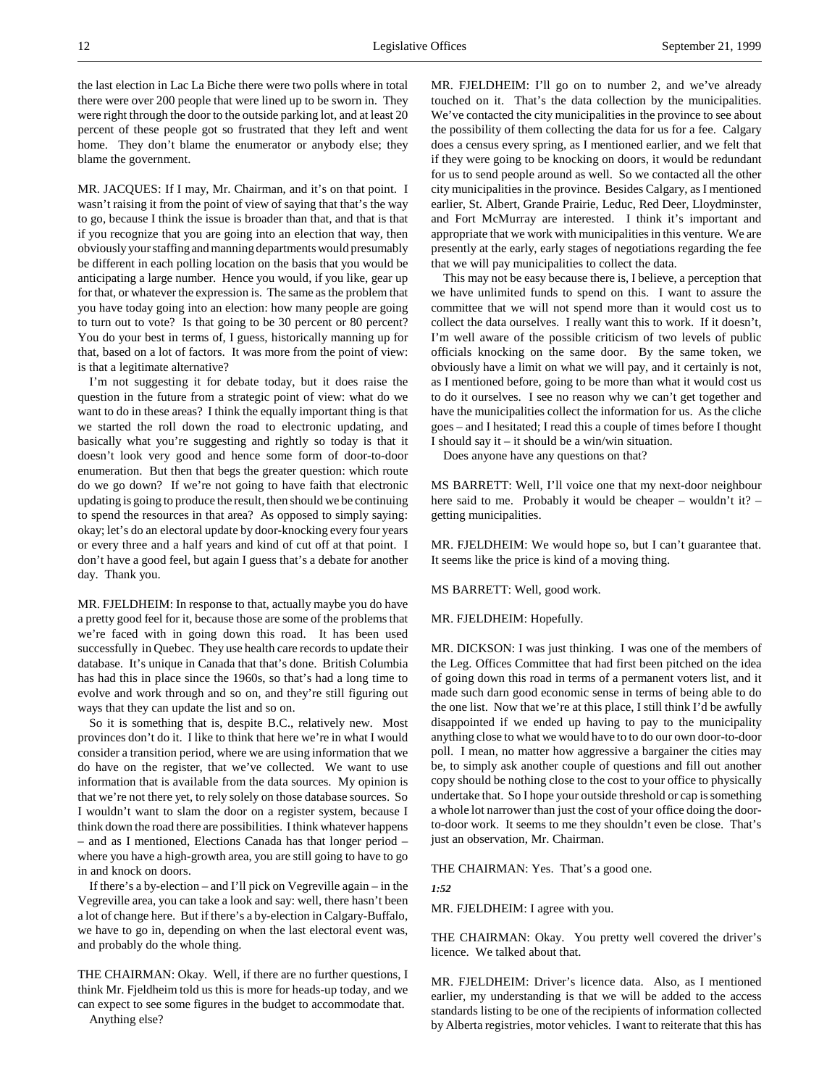the last election in Lac La Biche there were two polls where in total there were over 200 people that were lined up to be sworn in. They were right through the door to the outside parking lot, and at least 20 percent of these people got so frustrated that they left and went home. They don't blame the enumerator or anybody else; they blame the government.

MR. JACQUES: If I may, Mr. Chairman, and it's on that point. I wasn't raising it from the point of view of saying that that's the way to go, because I think the issue is broader than that, and that is that if you recognize that you are going into an election that way, then obviously your staffing and manning departments would presumably be different in each polling location on the basis that you would be anticipating a large number. Hence you would, if you like, gear up for that, or whatever the expression is. The same as the problem that you have today going into an election: how many people are going to turn out to vote? Is that going to be 30 percent or 80 percent? You do your best in terms of, I guess, historically manning up for that, based on a lot of factors. It was more from the point of view: is that a legitimate alternative?

I'm not suggesting it for debate today, but it does raise the question in the future from a strategic point of view: what do we want to do in these areas? I think the equally important thing is that we started the roll down the road to electronic updating, and basically what you're suggesting and rightly so today is that it doesn't look very good and hence some form of door-to-door enumeration. But then that begs the greater question: which route do we go down? If we're not going to have faith that electronic updating is going to produce the result, then should we be continuing to spend the resources in that area? As opposed to simply saying: okay; let's do an electoral update by door-knocking every four years or every three and a half years and kind of cut off at that point. I don't have a good feel, but again I guess that's a debate for another day. Thank you.

MR. FJELDHEIM: In response to that, actually maybe you do have a pretty good feel for it, because those are some of the problems that we're faced with in going down this road. It has been used successfully in Quebec. They use health care records to update their database. It's unique in Canada that that's done. British Columbia has had this in place since the 1960s, so that's had a long time to evolve and work through and so on, and they're still figuring out ways that they can update the list and so on.

So it is something that is, despite B.C., relatively new. Most provinces don't do it. I like to think that here we're in what I would consider a transition period, where we are using information that we do have on the register, that we've collected. We want to use information that is available from the data sources. My opinion is that we're not there yet, to rely solely on those database sources. So I wouldn't want to slam the door on a register system, because I think down the road there are possibilities. I think whatever happens – and as I mentioned, Elections Canada has that longer period – where you have a high-growth area, you are still going to have to go in and knock on doors.

If there's a by-election – and I'll pick on Vegreville again – in the Vegreville area, you can take a look and say: well, there hasn't been a lot of change here. But if there's a by-election in Calgary-Buffalo, we have to go in, depending on when the last electoral event was, and probably do the whole thing.

THE CHAIRMAN: Okay. Well, if there are no further questions, I think Mr. Fjeldheim told us this is more for heads-up today, and we can expect to see some figures in the budget to accommodate that. Anything else?

MR. FJELDHEIM: I'll go on to number 2, and we've already touched on it. That's the data collection by the municipalities. We've contacted the city municipalities in the province to see about the possibility of them collecting the data for us for a fee. Calgary does a census every spring, as I mentioned earlier, and we felt that if they were going to be knocking on doors, it would be redundant for us to send people around as well. So we contacted all the other city municipalities in the province. Besides Calgary, as I mentioned earlier, St. Albert, Grande Prairie, Leduc, Red Deer, Lloydminster, and Fort McMurray are interested. I think it's important and appropriate that we work with municipalities in this venture. We are presently at the early, early stages of negotiations regarding the fee that we will pay municipalities to collect the data.

This may not be easy because there is, I believe, a perception that we have unlimited funds to spend on this. I want to assure the committee that we will not spend more than it would cost us to collect the data ourselves. I really want this to work. If it doesn't, I'm well aware of the possible criticism of two levels of public officials knocking on the same door. By the same token, we obviously have a limit on what we will pay, and it certainly is not, as I mentioned before, going to be more than what it would cost us to do it ourselves. I see no reason why we can't get together and have the municipalities collect the information for us. As the cliche goes – and I hesitated; I read this a couple of times before I thought I should say it – it should be a win/win situation.

Does anyone have any questions on that?

MS BARRETT: Well, I'll voice one that my next-door neighbour here said to me. Probably it would be cheaper – wouldn't it? – getting municipalities.

MR. FJELDHEIM: We would hope so, but I can't guarantee that. It seems like the price is kind of a moving thing.

MS BARRETT: Well, good work.

MR. FJELDHEIM: Hopefully.

MR. DICKSON: I was just thinking. I was one of the members of the Leg. Offices Committee that had first been pitched on the idea of going down this road in terms of a permanent voters list, and it made such darn good economic sense in terms of being able to do the one list. Now that we're at this place, I still think I'd be awfully disappointed if we ended up having to pay to the municipality anything close to what we would have to to do our own door-to-door poll. I mean, no matter how aggressive a bargainer the cities may be, to simply ask another couple of questions and fill out another copy should be nothing close to the cost to your office to physically undertake that. So I hope your outside threshold or cap is something a whole lot narrower than just the cost of your office doing the doorto-door work. It seems to me they shouldn't even be close. That's just an observation, Mr. Chairman.

THE CHAIRMAN: Yes. That's a good one.

*1:52*

MR. FJELDHEIM: I agree with you.

THE CHAIRMAN: Okay. You pretty well covered the driver's licence. We talked about that.

MR. FJELDHEIM: Driver's licence data. Also, as I mentioned earlier, my understanding is that we will be added to the access standards listing to be one of the recipients of information collected by Alberta registries, motor vehicles. I want to reiterate that this has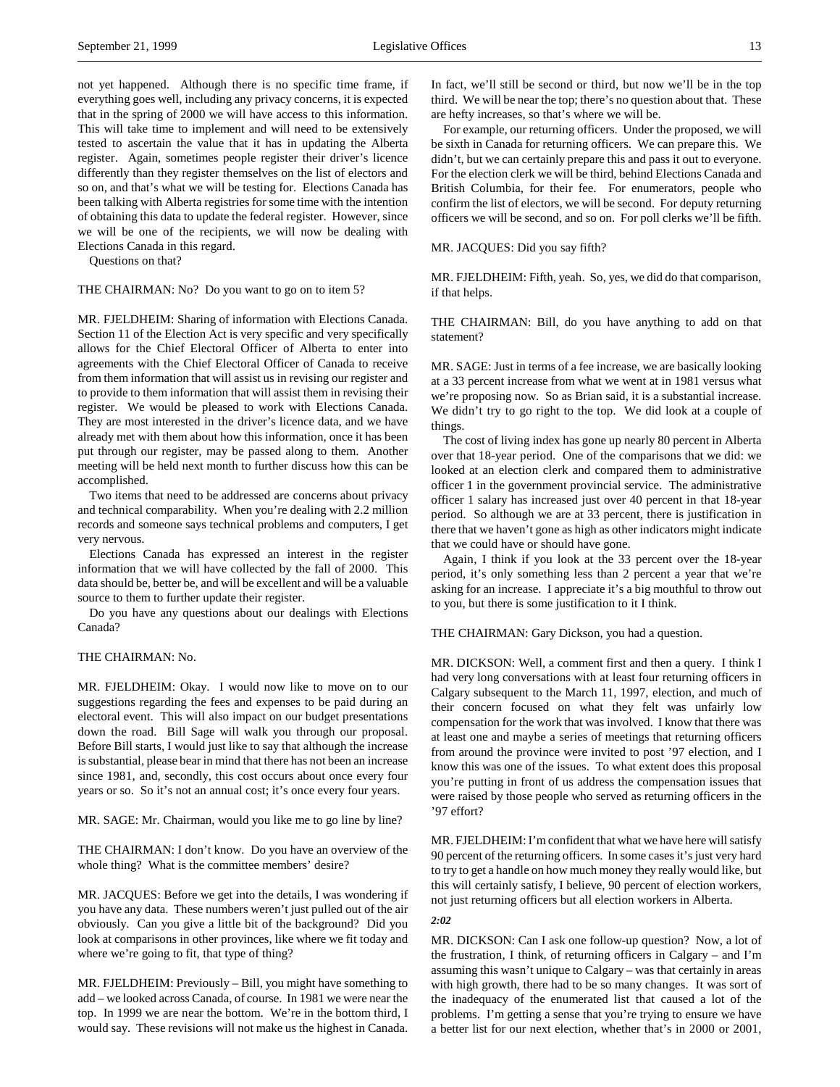not yet happened. Although there is no specific time frame, if everything goes well, including any privacy concerns, it is expected that in the spring of 2000 we will have access to this information. This will take time to implement and will need to be extensively tested to ascertain the value that it has in updating the Alberta register. Again, sometimes people register their driver's licence differently than they register themselves on the list of electors and so on, and that's what we will be testing for. Elections Canada has been talking with Alberta registries for some time with the intention of obtaining this data to update the federal register. However, since we will be one of the recipients, we will now be dealing with Elections Canada in this regard.

Questions on that?

#### THE CHAIRMAN: No? Do you want to go on to item 5?

MR. FJELDHEIM: Sharing of information with Elections Canada. Section 11 of the Election Act is very specific and very specifically allows for the Chief Electoral Officer of Alberta to enter into agreements with the Chief Electoral Officer of Canada to receive from them information that will assist us in revising our register and to provide to them information that will assist them in revising their register. We would be pleased to work with Elections Canada. They are most interested in the driver's licence data, and we have already met with them about how this information, once it has been put through our register, may be passed along to them. Another meeting will be held next month to further discuss how this can be accomplished.

Two items that need to be addressed are concerns about privacy and technical comparability. When you're dealing with 2.2 million records and someone says technical problems and computers, I get very nervous.

Elections Canada has expressed an interest in the register information that we will have collected by the fall of 2000. This data should be, better be, and will be excellent and will be a valuable source to them to further update their register.

Do you have any questions about our dealings with Elections Canada?

## THE CHAIRMAN: No.

MR. FJELDHEIM: Okay. I would now like to move on to our suggestions regarding the fees and expenses to be paid during an electoral event. This will also impact on our budget presentations down the road. Bill Sage will walk you through our proposal. Before Bill starts, I would just like to say that although the increase is substantial, please bear in mind that there has not been an increase since 1981, and, secondly, this cost occurs about once every four years or so. So it's not an annual cost; it's once every four years.

MR. SAGE: Mr. Chairman, would you like me to go line by line?

THE CHAIRMAN: I don't know. Do you have an overview of the whole thing? What is the committee members' desire?

MR. JACQUES: Before we get into the details, I was wondering if you have any data. These numbers weren't just pulled out of the air obviously. Can you give a little bit of the background? Did you look at comparisons in other provinces, like where we fit today and where we're going to fit, that type of thing?

MR. FJELDHEIM: Previously – Bill, you might have something to add – we looked across Canada, of course. In 1981 we were near the top. In 1999 we are near the bottom. We're in the bottom third, I would say. These revisions will not make us the highest in Canada.

In fact, we'll still be second or third, but now we'll be in the top third. We will be near the top; there's no question about that. These are hefty increases, so that's where we will be.

For example, our returning officers. Under the proposed, we will be sixth in Canada for returning officers. We can prepare this. We didn't, but we can certainly prepare this and pass it out to everyone. For the election clerk we will be third, behind Elections Canada and British Columbia, for their fee. For enumerators, people who confirm the list of electors, we will be second. For deputy returning officers we will be second, and so on. For poll clerks we'll be fifth.

MR. JACQUES: Did you say fifth?

MR. FJELDHEIM: Fifth, yeah. So, yes, we did do that comparison, if that helps.

THE CHAIRMAN: Bill, do you have anything to add on that statement?

MR. SAGE: Just in terms of a fee increase, we are basically looking at a 33 percent increase from what we went at in 1981 versus what we're proposing now. So as Brian said, it is a substantial increase. We didn't try to go right to the top. We did look at a couple of things.

The cost of living index has gone up nearly 80 percent in Alberta over that 18-year period. One of the comparisons that we did: we looked at an election clerk and compared them to administrative officer 1 in the government provincial service. The administrative officer 1 salary has increased just over 40 percent in that 18-year period. So although we are at 33 percent, there is justification in there that we haven't gone as high as other indicators might indicate that we could have or should have gone.

Again, I think if you look at the 33 percent over the 18-year period, it's only something less than 2 percent a year that we're asking for an increase. I appreciate it's a big mouthful to throw out to you, but there is some justification to it I think.

#### THE CHAIRMAN: Gary Dickson, you had a question.

MR. DICKSON: Well, a comment first and then a query. I think I had very long conversations with at least four returning officers in Calgary subsequent to the March 11, 1997, election, and much of their concern focused on what they felt was unfairly low compensation for the work that was involved. I know that there was at least one and maybe a series of meetings that returning officers from around the province were invited to post '97 election, and I know this was one of the issues. To what extent does this proposal you're putting in front of us address the compensation issues that were raised by those people who served as returning officers in the '97 effort?

MR. FJELDHEIM: I'm confident that what we have here will satisfy 90 percent of the returning officers. In some cases it's just very hard to try to get a handle on how much money they really would like, but this will certainly satisfy, I believe, 90 percent of election workers, not just returning officers but all election workers in Alberta.

# *2:02*

MR. DICKSON: Can I ask one follow-up question? Now, a lot of the frustration, I think, of returning officers in Calgary – and I'm assuming this wasn't unique to Calgary – was that certainly in areas with high growth, there had to be so many changes. It was sort of the inadequacy of the enumerated list that caused a lot of the problems. I'm getting a sense that you're trying to ensure we have a better list for our next election, whether that's in 2000 or 2001,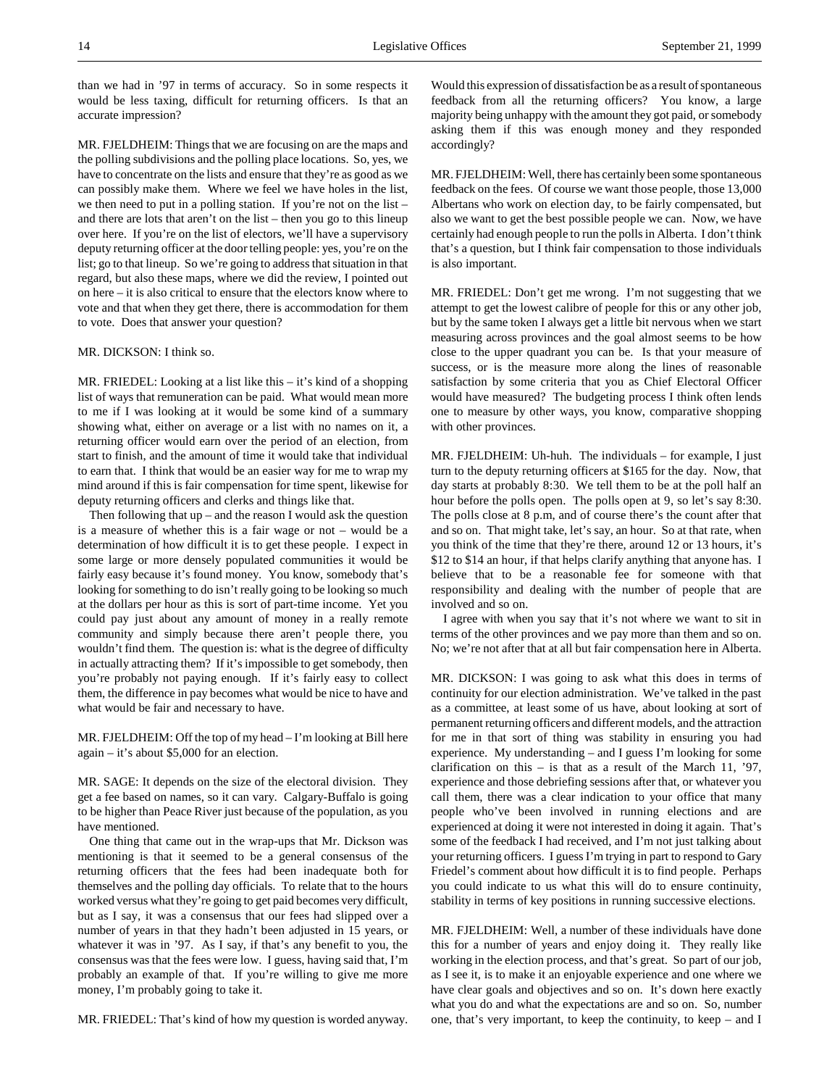than we had in '97 in terms of accuracy. So in some respects it would be less taxing, difficult for returning officers. Is that an accurate impression?

MR. FJELDHEIM: Things that we are focusing on are the maps and the polling subdivisions and the polling place locations. So, yes, we have to concentrate on the lists and ensure that they're as good as we can possibly make them. Where we feel we have holes in the list, we then need to put in a polling station. If you're not on the list – and there are lots that aren't on the list – then you go to this lineup over here. If you're on the list of electors, we'll have a supervisory deputy returning officer at the door telling people: yes, you're on the list; go to that lineup. So we're going to address that situation in that regard, but also these maps, where we did the review, I pointed out on here – it is also critical to ensure that the electors know where to vote and that when they get there, there is accommodation for them to vote. Does that answer your question?

# MR. DICKSON: I think so.

MR. FRIEDEL: Looking at a list like this – it's kind of a shopping list of ways that remuneration can be paid. What would mean more to me if I was looking at it would be some kind of a summary showing what, either on average or a list with no names on it, a returning officer would earn over the period of an election, from start to finish, and the amount of time it would take that individual to earn that. I think that would be an easier way for me to wrap my mind around if this is fair compensation for time spent, likewise for deputy returning officers and clerks and things like that.

Then following that  $up$  – and the reason I would ask the question is a measure of whether this is a fair wage or not – would be a determination of how difficult it is to get these people. I expect in some large or more densely populated communities it would be fairly easy because it's found money. You know, somebody that's looking for something to do isn't really going to be looking so much at the dollars per hour as this is sort of part-time income. Yet you could pay just about any amount of money in a really remote community and simply because there aren't people there, you wouldn't find them. The question is: what is the degree of difficulty in actually attracting them? If it's impossible to get somebody, then you're probably not paying enough. If it's fairly easy to collect them, the difference in pay becomes what would be nice to have and what would be fair and necessary to have.

MR. FJELDHEIM: Off the top of my head – I'm looking at Bill here again – it's about \$5,000 for an election.

MR. SAGE: It depends on the size of the electoral division. They get a fee based on names, so it can vary. Calgary-Buffalo is going to be higher than Peace River just because of the population, as you have mentioned.

One thing that came out in the wrap-ups that Mr. Dickson was mentioning is that it seemed to be a general consensus of the returning officers that the fees had been inadequate both for themselves and the polling day officials. To relate that to the hours worked versus what they're going to get paid becomes very difficult, but as I say, it was a consensus that our fees had slipped over a number of years in that they hadn't been adjusted in 15 years, or whatever it was in '97. As I say, if that's any benefit to you, the consensus was that the fees were low. I guess, having said that, I'm probably an example of that. If you're willing to give me more money, I'm probably going to take it.

MR. FRIEDEL: That's kind of how my question is worded anyway.

Would this expression of dissatisfaction be as a result of spontaneous feedback from all the returning officers? You know, a large majority being unhappy with the amount they got paid, or somebody asking them if this was enough money and they responded accordingly?

MR. FJELDHEIM: Well, there has certainly been some spontaneous feedback on the fees. Of course we want those people, those 13,000 Albertans who work on election day, to be fairly compensated, but also we want to get the best possible people we can. Now, we have certainly had enough people to run the polls in Alberta. I don't think that's a question, but I think fair compensation to those individuals is also important.

MR. FRIEDEL: Don't get me wrong. I'm not suggesting that we attempt to get the lowest calibre of people for this or any other job, but by the same token I always get a little bit nervous when we start measuring across provinces and the goal almost seems to be how close to the upper quadrant you can be. Is that your measure of success, or is the measure more along the lines of reasonable satisfaction by some criteria that you as Chief Electoral Officer would have measured? The budgeting process I think often lends one to measure by other ways, you know, comparative shopping with other provinces.

MR. FJELDHEIM: Uh-huh. The individuals – for example, I just turn to the deputy returning officers at \$165 for the day. Now, that day starts at probably 8:30. We tell them to be at the poll half an hour before the polls open. The polls open at 9, so let's say 8:30. The polls close at 8 p.m, and of course there's the count after that and so on. That might take, let's say, an hour. So at that rate, when you think of the time that they're there, around 12 or 13 hours, it's \$12 to \$14 an hour, if that helps clarify anything that anyone has. I believe that to be a reasonable fee for someone with that responsibility and dealing with the number of people that are involved and so on.

I agree with when you say that it's not where we want to sit in terms of the other provinces and we pay more than them and so on. No; we're not after that at all but fair compensation here in Alberta.

MR. DICKSON: I was going to ask what this does in terms of continuity for our election administration. We've talked in the past as a committee, at least some of us have, about looking at sort of permanent returning officers and different models, and the attraction for me in that sort of thing was stability in ensuring you had experience. My understanding – and I guess I'm looking for some clarification on this – is that as a result of the March 11, '97, experience and those debriefing sessions after that, or whatever you call them, there was a clear indication to your office that many people who've been involved in running elections and are experienced at doing it were not interested in doing it again. That's some of the feedback I had received, and I'm not just talking about your returning officers. I guess I'm trying in part to respond to Gary Friedel's comment about how difficult it is to find people. Perhaps you could indicate to us what this will do to ensure continuity, stability in terms of key positions in running successive elections.

MR. FJELDHEIM: Well, a number of these individuals have done this for a number of years and enjoy doing it. They really like working in the election process, and that's great. So part of our job, as I see it, is to make it an enjoyable experience and one where we have clear goals and objectives and so on. It's down here exactly what you do and what the expectations are and so on. So, number one, that's very important, to keep the continuity, to keep – and I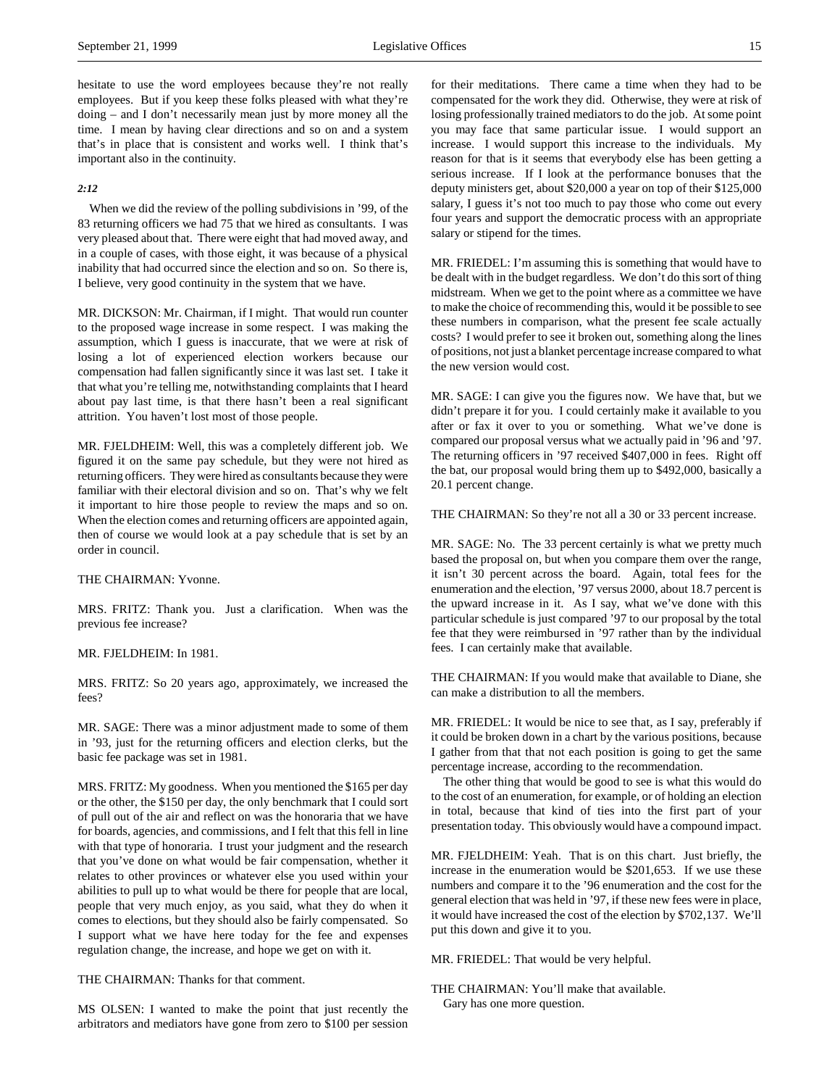hesitate to use the word employees because they're not really employees. But if you keep these folks pleased with what they're doing – and I don't necessarily mean just by more money all the time. I mean by having clear directions and so on and a system that's in place that is consistent and works well. I think that's important also in the continuity.

# *2:12*

When we did the review of the polling subdivisions in '99, of the 83 returning officers we had 75 that we hired as consultants. I was very pleased about that. There were eight that had moved away, and in a couple of cases, with those eight, it was because of a physical inability that had occurred since the election and so on. So there is, I believe, very good continuity in the system that we have.

MR. DICKSON: Mr. Chairman, if I might. That would run counter to the proposed wage increase in some respect. I was making the assumption, which I guess is inaccurate, that we were at risk of losing a lot of experienced election workers because our compensation had fallen significantly since it was last set. I take it that what you're telling me, notwithstanding complaints that I heard about pay last time, is that there hasn't been a real significant attrition. You haven't lost most of those people.

MR. FJELDHEIM: Well, this was a completely different job. We figured it on the same pay schedule, but they were not hired as returning officers. They were hired as consultants because they were familiar with their electoral division and so on. That's why we felt it important to hire those people to review the maps and so on. When the election comes and returning officers are appointed again, then of course we would look at a pay schedule that is set by an order in council.

THE CHAIRMAN: Yvonne.

MRS. FRITZ: Thank you. Just a clarification. When was the previous fee increase?

# MR. FJELDHEIM: In 1981.

MRS. FRITZ: So 20 years ago, approximately, we increased the fees?

MR. SAGE: There was a minor adjustment made to some of them in '93, just for the returning officers and election clerks, but the basic fee package was set in 1981.

MRS. FRITZ: My goodness. When you mentioned the \$165 per day or the other, the \$150 per day, the only benchmark that I could sort of pull out of the air and reflect on was the honoraria that we have for boards, agencies, and commissions, and I felt that this fell in line with that type of honoraria. I trust your judgment and the research that you've done on what would be fair compensation, whether it relates to other provinces or whatever else you used within your abilities to pull up to what would be there for people that are local, people that very much enjoy, as you said, what they do when it comes to elections, but they should also be fairly compensated. So I support what we have here today for the fee and expenses regulation change, the increase, and hope we get on with it.

THE CHAIRMAN: Thanks for that comment.

MS OLSEN: I wanted to make the point that just recently the arbitrators and mediators have gone from zero to \$100 per session

for their meditations. There came a time when they had to be compensated for the work they did. Otherwise, they were at risk of losing professionally trained mediators to do the job. At some point you may face that same particular issue. I would support an increase. I would support this increase to the individuals. My reason for that is it seems that everybody else has been getting a serious increase. If I look at the performance bonuses that the deputy ministers get, about \$20,000 a year on top of their \$125,000 salary, I guess it's not too much to pay those who come out every four years and support the democratic process with an appropriate salary or stipend for the times.

MR. FRIEDEL: I'm assuming this is something that would have to be dealt with in the budget regardless. We don't do this sort of thing midstream. When we get to the point where as a committee we have to make the choice of recommending this, would it be possible to see these numbers in comparison, what the present fee scale actually costs? I would prefer to see it broken out, something along the lines of positions, not just a blanket percentage increase compared to what the new version would cost.

MR. SAGE: I can give you the figures now. We have that, but we didn't prepare it for you. I could certainly make it available to you after or fax it over to you or something. What we've done is compared our proposal versus what we actually paid in '96 and '97. The returning officers in '97 received \$407,000 in fees. Right off the bat, our proposal would bring them up to \$492,000, basically a 20.1 percent change.

THE CHAIRMAN: So they're not all a 30 or 33 percent increase.

MR. SAGE: No. The 33 percent certainly is what we pretty much based the proposal on, but when you compare them over the range, it isn't 30 percent across the board. Again, total fees for the enumeration and the election, '97 versus 2000, about 18.7 percent is the upward increase in it. As I say, what we've done with this particular schedule is just compared '97 to our proposal by the total fee that they were reimbursed in '97 rather than by the individual fees. I can certainly make that available.

THE CHAIRMAN: If you would make that available to Diane, she can make a distribution to all the members.

MR. FRIEDEL: It would be nice to see that, as I say, preferably if it could be broken down in a chart by the various positions, because I gather from that that not each position is going to get the same percentage increase, according to the recommendation.

The other thing that would be good to see is what this would do to the cost of an enumeration, for example, or of holding an election in total, because that kind of ties into the first part of your presentation today. This obviously would have a compound impact.

MR. FJELDHEIM: Yeah. That is on this chart. Just briefly, the increase in the enumeration would be \$201,653. If we use these numbers and compare it to the '96 enumeration and the cost for the general election that was held in '97, if these new fees were in place, it would have increased the cost of the election by \$702,137. We'll put this down and give it to you.

MR. FRIEDEL: That would be very helpful.

THE CHAIRMAN: You'll make that available. Gary has one more question.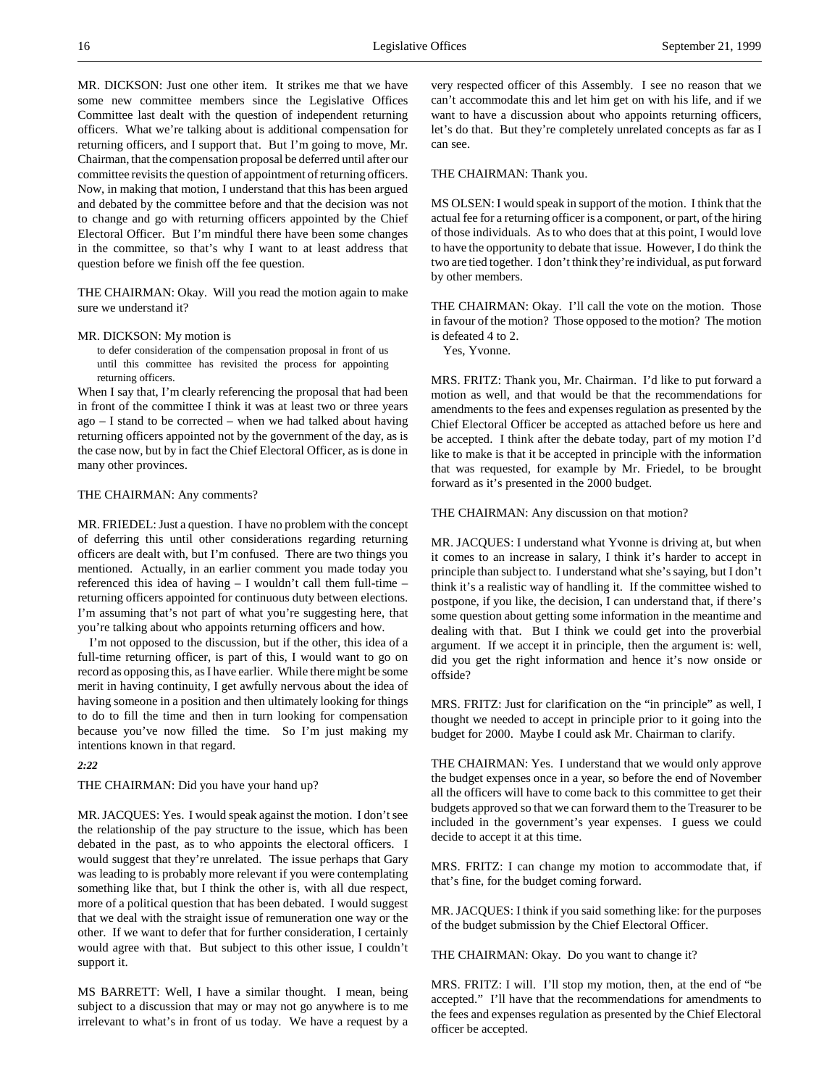MR. DICKSON: Just one other item. It strikes me that we have some new committee members since the Legislative Offices Committee last dealt with the question of independent returning officers. What we're talking about is additional compensation for returning officers, and I support that. But I'm going to move, Mr. Chairman, that the compensation proposal be deferred until after our committee revisits the question of appointment of returning officers. Now, in making that motion, I understand that this has been argued and debated by the committee before and that the decision was not to change and go with returning officers appointed by the Chief Electoral Officer. But I'm mindful there have been some changes in the committee, so that's why I want to at least address that question before we finish off the fee question.

THE CHAIRMAN: Okay. Will you read the motion again to make sure we understand it?

#### MR. DICKSON: My motion is

to defer consideration of the compensation proposal in front of us until this committee has revisited the process for appointing returning officers.

When I say that, I'm clearly referencing the proposal that had been in front of the committee I think it was at least two or three years ago – I stand to be corrected – when we had talked about having returning officers appointed not by the government of the day, as is the case now, but by in fact the Chief Electoral Officer, as is done in many other provinces.

# THE CHAIRMAN: Any comments?

MR. FRIEDEL: Just a question. I have no problem with the concept of deferring this until other considerations regarding returning officers are dealt with, but I'm confused. There are two things you mentioned. Actually, in an earlier comment you made today you referenced this idea of having – I wouldn't call them full-time – returning officers appointed for continuous duty between elections. I'm assuming that's not part of what you're suggesting here, that you're talking about who appoints returning officers and how.

I'm not opposed to the discussion, but if the other, this idea of a full-time returning officer, is part of this, I would want to go on record as opposing this, as I have earlier. While there might be some merit in having continuity, I get awfully nervous about the idea of having someone in a position and then ultimately looking for things to do to fill the time and then in turn looking for compensation because you've now filled the time. So I'm just making my intentions known in that regard.

*2:22*

THE CHAIRMAN: Did you have your hand up?

MR. JACQUES: Yes. I would speak against the motion. I don't see the relationship of the pay structure to the issue, which has been debated in the past, as to who appoints the electoral officers. I would suggest that they're unrelated. The issue perhaps that Gary was leading to is probably more relevant if you were contemplating something like that, but I think the other is, with all due respect, more of a political question that has been debated. I would suggest that we deal with the straight issue of remuneration one way or the other. If we want to defer that for further consideration, I certainly would agree with that. But subject to this other issue, I couldn't support it.

MS BARRETT: Well, I have a similar thought. I mean, being subject to a discussion that may or may not go anywhere is to me irrelevant to what's in front of us today. We have a request by a very respected officer of this Assembly. I see no reason that we can't accommodate this and let him get on with his life, and if we want to have a discussion about who appoints returning officers, let's do that. But they're completely unrelated concepts as far as I can see.

## THE CHAIRMAN: Thank you.

MS OLSEN: I would speak in support of the motion. I think that the actual fee for a returning officer is a component, or part, of the hiring of those individuals. As to who does that at this point, I would love to have the opportunity to debate that issue. However, I do think the two are tied together. I don't think they're individual, as put forward by other members.

THE CHAIRMAN: Okay. I'll call the vote on the motion. Those in favour of the motion? Those opposed to the motion? The motion is defeated 4 to 2.

Yes, Yvonne.

MRS. FRITZ: Thank you, Mr. Chairman. I'd like to put forward a motion as well, and that would be that the recommendations for amendments to the fees and expenses regulation as presented by the Chief Electoral Officer be accepted as attached before us here and be accepted. I think after the debate today, part of my motion I'd like to make is that it be accepted in principle with the information that was requested, for example by Mr. Friedel, to be brought forward as it's presented in the 2000 budget.

# THE CHAIRMAN: Any discussion on that motion?

MR. JACQUES: I understand what Yvonne is driving at, but when it comes to an increase in salary, I think it's harder to accept in principle than subject to. I understand what she's saying, but I don't think it's a realistic way of handling it. If the committee wished to postpone, if you like, the decision, I can understand that, if there's some question about getting some information in the meantime and dealing with that. But I think we could get into the proverbial argument. If we accept it in principle, then the argument is: well, did you get the right information and hence it's now onside or offside?

MRS. FRITZ: Just for clarification on the "in principle" as well, I thought we needed to accept in principle prior to it going into the budget for 2000. Maybe I could ask Mr. Chairman to clarify.

THE CHAIRMAN: Yes. I understand that we would only approve the budget expenses once in a year, so before the end of November all the officers will have to come back to this committee to get their budgets approved so that we can forward them to the Treasurer to be included in the government's year expenses. I guess we could decide to accept it at this time.

MRS. FRITZ: I can change my motion to accommodate that, if that's fine, for the budget coming forward.

MR. JACQUES: I think if you said something like: for the purposes of the budget submission by the Chief Electoral Officer.

THE CHAIRMAN: Okay. Do you want to change it?

MRS. FRITZ: I will. I'll stop my motion, then, at the end of "be accepted." I'll have that the recommendations for amendments to the fees and expenses regulation as presented by the Chief Electoral officer be accepted.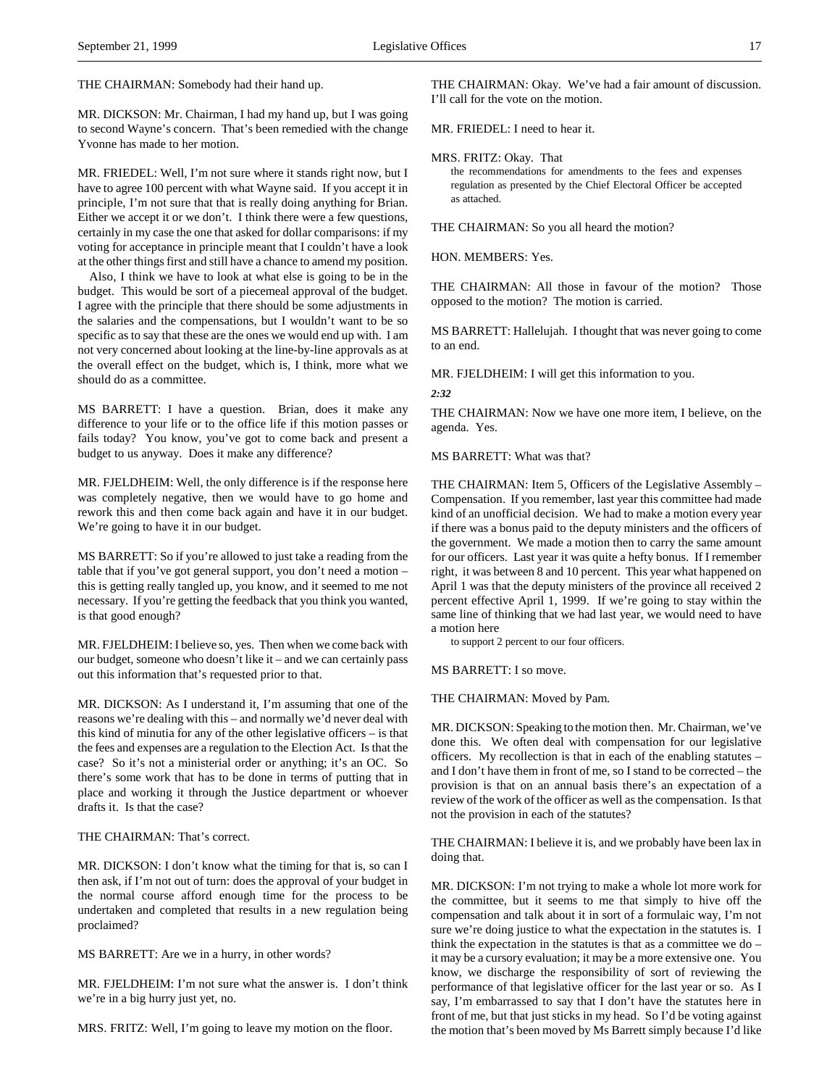THE CHAIRMAN: Somebody had their hand up.

MR. DICKSON: Mr. Chairman, I had my hand up, but I was going to second Wayne's concern. That's been remedied with the change Yvonne has made to her motion.

MR. FRIEDEL: Well, I'm not sure where it stands right now, but I have to agree 100 percent with what Wayne said. If you accept it in principle, I'm not sure that that is really doing anything for Brian. Either we accept it or we don't. I think there were a few questions, certainly in my case the one that asked for dollar comparisons: if my voting for acceptance in principle meant that I couldn't have a look at the other things first and still have a chance to amend my position.

Also, I think we have to look at what else is going to be in the budget. This would be sort of a piecemeal approval of the budget. I agree with the principle that there should be some adjustments in the salaries and the compensations, but I wouldn't want to be so specific as to say that these are the ones we would end up with. I am not very concerned about looking at the line-by-line approvals as at the overall effect on the budget, which is, I think, more what we should do as a committee.

MS BARRETT: I have a question. Brian, does it make any difference to your life or to the office life if this motion passes or fails today? You know, you've got to come back and present a budget to us anyway. Does it make any difference?

MR. FJELDHEIM: Well, the only difference is if the response here was completely negative, then we would have to go home and rework this and then come back again and have it in our budget. We're going to have it in our budget.

MS BARRETT: So if you're allowed to just take a reading from the table that if you've got general support, you don't need a motion – this is getting really tangled up, you know, and it seemed to me not necessary. If you're getting the feedback that you think you wanted, is that good enough?

MR. FJELDHEIM: I believe so, yes. Then when we come back with our budget, someone who doesn't like it – and we can certainly pass out this information that's requested prior to that.

MR. DICKSON: As I understand it, I'm assuming that one of the reasons we're dealing with this – and normally we'd never deal with this kind of minutia for any of the other legislative officers – is that the fees and expenses are a regulation to the Election Act. Is that the case? So it's not a ministerial order or anything; it's an OC. So there's some work that has to be done in terms of putting that in place and working it through the Justice department or whoever drafts it. Is that the case?

THE CHAIRMAN: That's correct.

MR. DICKSON: I don't know what the timing for that is, so can I then ask, if I'm not out of turn: does the approval of your budget in the normal course afford enough time for the process to be undertaken and completed that results in a new regulation being proclaimed?

MS BARRETT: Are we in a hurry, in other words?

MR. FJELDHEIM: I'm not sure what the answer is. I don't think we're in a big hurry just yet, no.

MRS. FRITZ: Well, I'm going to leave my motion on the floor.

THE CHAIRMAN: Okay. We've had a fair amount of discussion. I'll call for the vote on the motion.

MR. FRIEDEL: I need to hear it.

MRS. FRITZ: Okay. That

the recommendations for amendments to the fees and expenses regulation as presented by the Chief Electoral Officer be accepted as attached.

THE CHAIRMAN: So you all heard the motion?

HON. MEMBERS: Yes.

THE CHAIRMAN: All those in favour of the motion? Those opposed to the motion? The motion is carried.

MS BARRETT: Hallelujah. I thought that was never going to come to an end.

MR. FJELDHEIM: I will get this information to you.

#### *2:32*

THE CHAIRMAN: Now we have one more item, I believe, on the agenda. Yes.

MS BARRETT: What was that?

THE CHAIRMAN: Item 5, Officers of the Legislative Assembly – Compensation. If you remember, last year this committee had made kind of an unofficial decision. We had to make a motion every year if there was a bonus paid to the deputy ministers and the officers of the government. We made a motion then to carry the same amount for our officers. Last year it was quite a hefty bonus. If I remember right, it was between 8 and 10 percent. This year what happened on April 1 was that the deputy ministers of the province all received 2 percent effective April 1, 1999. If we're going to stay within the same line of thinking that we had last year, we would need to have a motion here

to support 2 percent to our four officers.

MS BARRETT: I so move.

THE CHAIRMAN: Moved by Pam.

MR. DICKSON: Speaking to the motion then. Mr. Chairman, we've done this. We often deal with compensation for our legislative officers. My recollection is that in each of the enabling statutes – and I don't have them in front of me, so I stand to be corrected – the provision is that on an annual basis there's an expectation of a review of the work of the officer as well as the compensation. Is that not the provision in each of the statutes?

THE CHAIRMAN: I believe it is, and we probably have been lax in doing that.

MR. DICKSON: I'm not trying to make a whole lot more work for the committee, but it seems to me that simply to hive off the compensation and talk about it in sort of a formulaic way, I'm not sure we're doing justice to what the expectation in the statutes is. I think the expectation in the statutes is that as a committee we do – it may be a cursory evaluation; it may be a more extensive one. You know, we discharge the responsibility of sort of reviewing the performance of that legislative officer for the last year or so. As I say, I'm embarrassed to say that I don't have the statutes here in front of me, but that just sticks in my head. So I'd be voting against the motion that's been moved by Ms Barrett simply because I'd like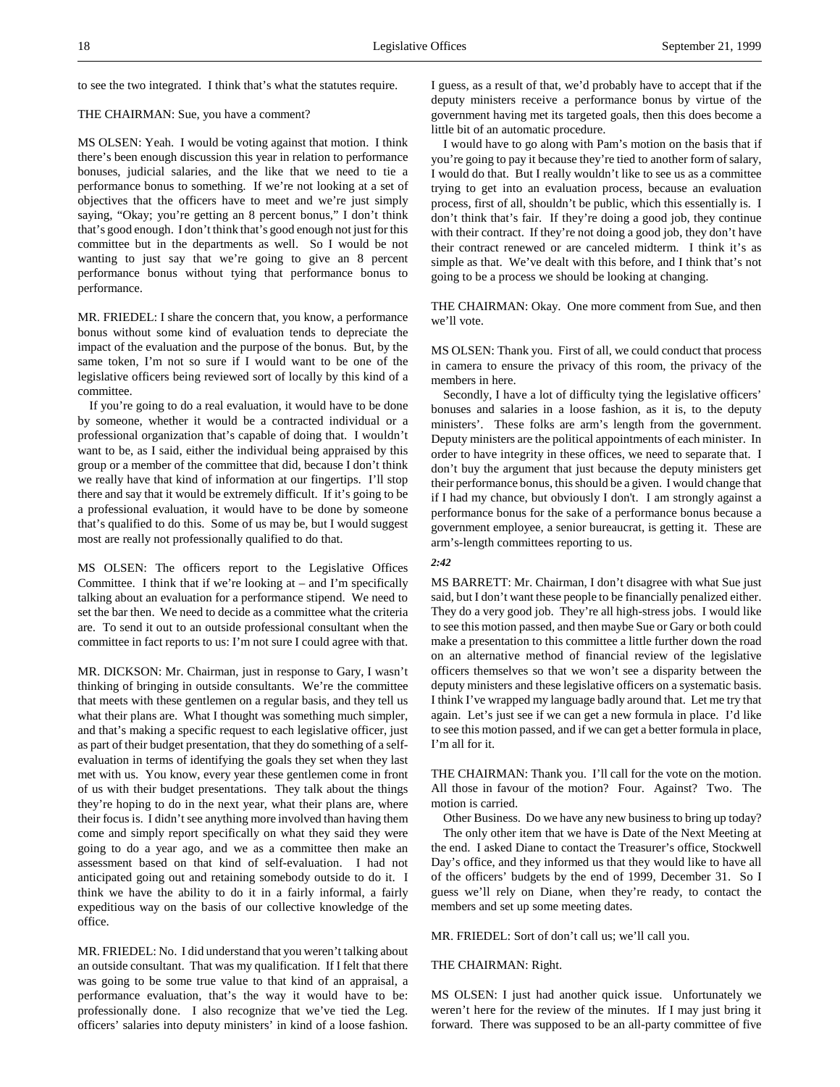to see the two integrated. I think that's what the statutes require.

#### THE CHAIRMAN: Sue, you have a comment?

MS OLSEN: Yeah. I would be voting against that motion. I think there's been enough discussion this year in relation to performance bonuses, judicial salaries, and the like that we need to tie a performance bonus to something. If we're not looking at a set of objectives that the officers have to meet and we're just simply saying, "Okay; you're getting an 8 percent bonus," I don't think that's good enough. I don't think that's good enough not just for this committee but in the departments as well. So I would be not wanting to just say that we're going to give an 8 percent performance bonus without tying that performance bonus to performance.

MR. FRIEDEL: I share the concern that, you know, a performance bonus without some kind of evaluation tends to depreciate the impact of the evaluation and the purpose of the bonus. But, by the same token, I'm not so sure if I would want to be one of the legislative officers being reviewed sort of locally by this kind of a committee.

If you're going to do a real evaluation, it would have to be done by someone, whether it would be a contracted individual or a professional organization that's capable of doing that. I wouldn't want to be, as I said, either the individual being appraised by this group or a member of the committee that did, because I don't think we really have that kind of information at our fingertips. I'll stop there and say that it would be extremely difficult. If it's going to be a professional evaluation, it would have to be done by someone that's qualified to do this. Some of us may be, but I would suggest most are really not professionally qualified to do that.

MS OLSEN: The officers report to the Legislative Offices Committee. I think that if we're looking at – and I'm specifically talking about an evaluation for a performance stipend. We need to set the bar then. We need to decide as a committee what the criteria are. To send it out to an outside professional consultant when the committee in fact reports to us: I'm not sure I could agree with that.

MR. DICKSON: Mr. Chairman, just in response to Gary, I wasn't thinking of bringing in outside consultants. We're the committee that meets with these gentlemen on a regular basis, and they tell us what their plans are. What I thought was something much simpler, and that's making a specific request to each legislative officer, just as part of their budget presentation, that they do something of a selfevaluation in terms of identifying the goals they set when they last met with us. You know, every year these gentlemen come in front of us with their budget presentations. They talk about the things they're hoping to do in the next year, what their plans are, where their focus is. I didn't see anything more involved than having them come and simply report specifically on what they said they were going to do a year ago, and we as a committee then make an assessment based on that kind of self-evaluation. I had not anticipated going out and retaining somebody outside to do it. I think we have the ability to do it in a fairly informal, a fairly expeditious way on the basis of our collective knowledge of the office.

MR. FRIEDEL: No. I did understand that you weren't talking about an outside consultant. That was my qualification. If I felt that there was going to be some true value to that kind of an appraisal, a performance evaluation, that's the way it would have to be: professionally done. I also recognize that we've tied the Leg. officers' salaries into deputy ministers' in kind of a loose fashion.

I guess, as a result of that, we'd probably have to accept that if the deputy ministers receive a performance bonus by virtue of the government having met its targeted goals, then this does become a little bit of an automatic procedure.

I would have to go along with Pam's motion on the basis that if you're going to pay it because they're tied to another form of salary, I would do that. But I really wouldn't like to see us as a committee trying to get into an evaluation process, because an evaluation process, first of all, shouldn't be public, which this essentially is. I don't think that's fair. If they're doing a good job, they continue with their contract. If they're not doing a good job, they don't have their contract renewed or are canceled midterm. I think it's as simple as that. We've dealt with this before, and I think that's not going to be a process we should be looking at changing.

THE CHAIRMAN: Okay. One more comment from Sue, and then we'll vote.

MS OLSEN: Thank you. First of all, we could conduct that process in camera to ensure the privacy of this room, the privacy of the members in here.

Secondly, I have a lot of difficulty tying the legislative officers' bonuses and salaries in a loose fashion, as it is, to the deputy ministers'. These folks are arm's length from the government. Deputy ministers are the political appointments of each minister. In order to have integrity in these offices, we need to separate that. I don't buy the argument that just because the deputy ministers get their performance bonus, this should be a given. I would change that if I had my chance, but obviously I don't. I am strongly against a performance bonus for the sake of a performance bonus because a government employee, a senior bureaucrat, is getting it. These are arm's-length committees reporting to us.

#### *2:42*

MS BARRETT: Mr. Chairman, I don't disagree with what Sue just said, but I don't want these people to be financially penalized either. They do a very good job. They're all high-stress jobs. I would like to see this motion passed, and then maybe Sue or Gary or both could make a presentation to this committee a little further down the road on an alternative method of financial review of the legislative officers themselves so that we won't see a disparity between the deputy ministers and these legislative officers on a systematic basis. I think I've wrapped my language badly around that. Let me try that again. Let's just see if we can get a new formula in place. I'd like to see this motion passed, and if we can get a better formula in place, I'm all for it.

THE CHAIRMAN: Thank you. I'll call for the vote on the motion. All those in favour of the motion? Four. Against? Two. The motion is carried.

Other Business. Do we have any new business to bring up today? The only other item that we have is Date of the Next Meeting at the end. I asked Diane to contact the Treasurer's office, Stockwell Day's office, and they informed us that they would like to have all of the officers' budgets by the end of 1999, December 31. So I guess we'll rely on Diane, when they're ready, to contact the members and set up some meeting dates.

MR. FRIEDEL: Sort of don't call us; we'll call you.

#### THE CHAIRMAN: Right.

MS OLSEN: I just had another quick issue. Unfortunately we weren't here for the review of the minutes. If I may just bring it forward. There was supposed to be an all-party committee of five